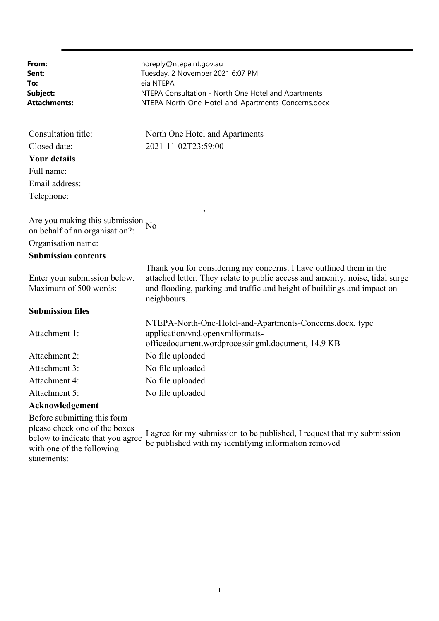| From:<br>Sent:<br>To:<br>Subject:<br>Attachments:                                                                             | noreply@ntepa.nt.gov.au<br>Tuesday, 2 November 2021 6:07 PM<br>eia NTEPA<br>NTEPA Consultation - North One Hotel and Apartments<br>NTEPA-North-One-Hotel-and-Apartments-Concerns.docx                                                         |
|-------------------------------------------------------------------------------------------------------------------------------|-----------------------------------------------------------------------------------------------------------------------------------------------------------------------------------------------------------------------------------------------|
| Consultation title:                                                                                                           | North One Hotel and Apartments                                                                                                                                                                                                                |
| Closed date:                                                                                                                  | 2021-11-02T23:59:00                                                                                                                                                                                                                           |
| <b>Your details</b>                                                                                                           |                                                                                                                                                                                                                                               |
| Full name:                                                                                                                    |                                                                                                                                                                                                                                               |
| Email address:                                                                                                                |                                                                                                                                                                                                                                               |
| Telephone:                                                                                                                    |                                                                                                                                                                                                                                               |
| Are you making this submission<br>on behalf of an organisation?:                                                              | $\pmb{\mathfrak{z}}$<br>N <sub>o</sub>                                                                                                                                                                                                        |
| Organisation name:                                                                                                            |                                                                                                                                                                                                                                               |
| <b>Submission contents</b>                                                                                                    |                                                                                                                                                                                                                                               |
| Enter your submission below.<br>Maximum of 500 words:                                                                         | Thank you for considering my concerns. I have outlined them in the<br>attached letter. They relate to public access and amenity, noise, tidal surge<br>and flooding, parking and traffic and height of buildings and impact on<br>neighbours. |
| <b>Submission files</b>                                                                                                       |                                                                                                                                                                                                                                               |
| Attachment 1:                                                                                                                 | NTEPA-North-One-Hotel-and-Apartments-Concerns.docx, type<br>application/vnd.openxmlformats-<br>officedocument.wordprocessingml.document, 14.9 KB                                                                                              |
| Attachment 2:                                                                                                                 | No file uploaded                                                                                                                                                                                                                              |
| Attachment 3:                                                                                                                 | No file uploaded                                                                                                                                                                                                                              |
| Attachment 4:                                                                                                                 | No file uploaded                                                                                                                                                                                                                              |
| Attachment 5:                                                                                                                 | No file uploaded                                                                                                                                                                                                                              |
| Acknowledgement                                                                                                               |                                                                                                                                                                                                                                               |
| Before submitting this form<br>please check one of the boxes<br>below to indicate that you agree<br>with one of the following | I agree for my submission to be published, I request that my submission<br>be published with my identifying information removed                                                                                                               |

statements: